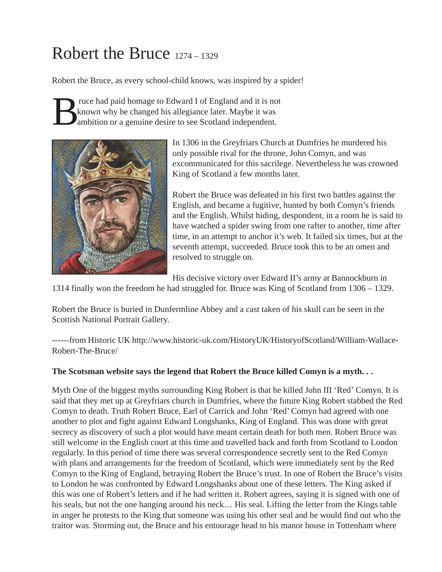# Robert the Bruce 1274 – 1329

Robert the Bruce, as every school-child knows, was inspired by a spider!

Fruce had paid homage to Edward I of England and it is not known why he changed his allegiance later. Maybe it was ambition or a genuine desire to see Scotland independent. known why he changed his allegiance later. Maybe it was ambition or a genuine desire to see Scotland independent.



In 1306 in the Greyfriars Church at Dumfries he murdered his only possible rival for the throne, John Comyn, and was excommunicated for this sacrilege. Nevertheless he was crowned King of Scotland a few months later.

Robert the Bruce was defeated in his first two battles against the English, and became a fugitive, hunted by both Comyn's friends and the English. Whilst hiding, despondent, in a room he is said to have watched a spider swing from one rafter to another, time after time, in an attempt to anchor it's web. It failed six times, but at the seventh attempt, succeeded. Bruce took this to be an omen and resolved to struggle on.

His decisive victory over Edward II's army at Bannockburn in

1314 finally won the freedom he had struggled for. Bruce was King of Scotland from 1306 – 1329.

Robert the Bruce is buried in Dunfermline Abbey and a cast taken of his skull can be seen in the Scottish National Portrait Gallery.

------from Historic UK http://www.historic-uk.com/HistoryUK/HistoryofScotland/William-Wallace-Robert-The-Bruce/

#### **The Scotsman website says the legend that Robert the Bruce killed Comyn is a myth. . .**

Myth One of the biggest myths surrounding King Robert is that he killed John III 'Red' Comyn. It is said that they met up at Greyfriars church in Dumfries, where the future King Robert stabbed the Red Comyn to death. Truth Robert Bruce, Earl of Carrick and John 'Red' Comyn had agreed with one another to plot and fight against Edward Longshanks, King of England. This was done with great secrecy as discovery of such a plot would have meant certain death for both men. Robert Bruce was still welcome in the English court at this time and travelled back and forth from Scotland to London regularly. In this period of time there was several correspondence secretly sent to the Red Comyn with plans and arrangements for the freedom of Scotland, which were immediately sent by the Red Comyn to the King of England, betraying Robert the Bruce's trust. In one of Robert the Bruce's visits to London he was confronted by Edward Longshanks about one of these letters. The King asked if this was one of Robert's letters and if he had written it. Robert agrees, saying it is signed with one of his seals, but not the one hanging around his neck... His seal. Lifting the letter from the Kings table in anger he protests to the King that someone was using his other seal and he would find out who the traitor was. Storming out, the Bruce and his entourage head to his manor house in Tottenham where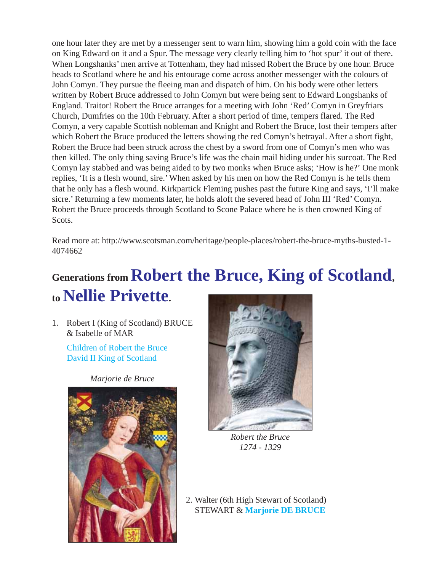one hour later they are met by a messenger sent to warn him, showing him a gold coin with the face on King Edward on it and a Spur. The message very clearly telling him to 'hot spur' it out of there. When Longshanks' men arrive at Tottenham, they had missed Robert the Bruce by one hour. Bruce heads to Scotland where he and his entourage come across another messenger with the colours of John Comyn. They pursue the fleeing man and dispatch of him. On his body were other letters written by Robert Bruce addressed to John Comyn but were being sent to Edward Longshanks of England. Traitor! Robert the Bruce arranges for a meeting with John 'Red' Comyn in Greyfriars Church, Dumfries on the 10th February. After a short period of time, tempers flared. The Red Comyn, a very capable Scottish nobleman and Knight and Robert the Bruce, lost their tempers after which Robert the Bruce produced the letters showing the red Comyn's betrayal. After a short fight, Robert the Bruce had been struck across the chest by a sword from one of Comyn's men who was then killed. The only thing saving Bruce's life was the chain mail hiding under his surcoat. The Red Comyn lay stabbed and was being aided to by two monks when Bruce asks; 'How is he?' One monk replies, 'It is a flesh wound, sire.' When asked by his men on how the Red Comyn is he tells them that he only has a flesh wound. Kirkpartick Fleming pushes past the future King and says, 'I'll make sicre.' Returning a few moments later, he holds aloft the severed head of John III 'Red' Comyn. Robert the Bruce proceeds through Scotland to Scone Palace where he is then crowned King of Scots.

Read more at: http://www.scotsman.com/heritage/people-places/robert-the-bruce-myths-busted-1- 4074662

## **Generations from Robert the Bruce, King of Scotland, to Nellie Privette.**

1. Robert I (King of Scotland) BRUCE & Isabelle of MAR

[Children of Robert the Bruce](http://www.madeofcotton.com/family/robert-the-bruce-children.pdf) [David II King of Scotland](http://www.madeofcotton.com/family/king-david.pdf)

*Marjorie de Bruce*





*Robert the Bruce 1274 - 1329*

2. Walter (6th High Stewart of Scotland) STEWART & **[Marjorie DE BRUCE](https://historytheinterestingbits.com/2015/07/10/poor-little-marjorie-bruce/)**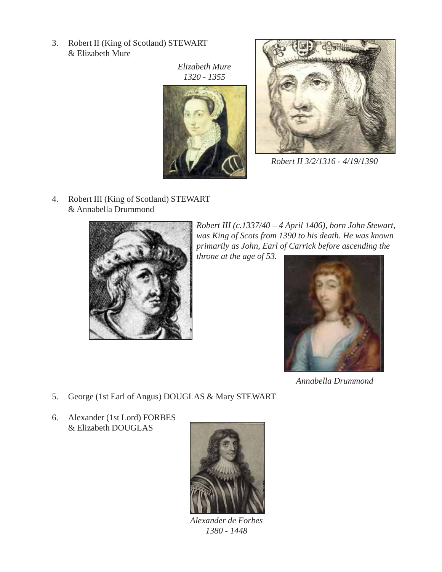3. Robert II (King of Scotland) STEWART & Elizabeth Mure

> *Elizabeth Mure 1320 - 1355*





*Robert II 3/2/1316 - 4/19/1390*

4. Robert III (King of Scotland) STEWART & Annabella Drummond



*Robert III (c.1337/40 – 4 April 1406), born John Stewart, was King of Scots from 1390 to his death. He was known primarily as John, Earl of Carrick before ascending the*

*throne at the age of 53.*



*Annabella Drummond*

- 5. George (1st Earl of Angus) DOUGLAS & Mary STEWART
- 6. Alexander (1st Lord) FORBES & Elizabeth DOUGLAS



*Alexander de Forbes 1380 - 1448*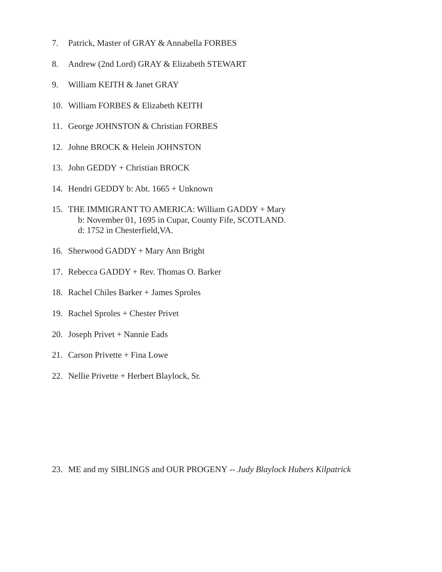- 7. Patrick, Master of GRAY & Annabella FORBES
- 8. Andrew (2nd Lord) GRAY & Elizabeth STEWART
- 9. William KEITH & Janet GRAY
- 10. William FORBES & Elizabeth KEITH
- 11. George JOHNSTON & Christian FORBES
- 12. Johne BROCK & Helein JOHNSTON
- 13. John GEDDY + Christian BROCK
- 14. Hendri GEDDY b: Abt. 1665 + Unknown
- 15. THE IMMIGRANT TO AMERICA: William GADDY + Mary b: November 01, 1695 in Cupar, County Fife, SCOTLAND. d: 1752 in Chesterfield,VA.
- 16. Sherwood GADDY + Mary Ann Bright
- 17. Rebecca GADDY + Rev. Thomas O. Barker
- 18. Rachel Chiles Barker + James Sproles
- 19. Rachel Sproles + Chester Privet
- 20. Joseph Privet + Nannie Eads
- 21. Carson Privette + Fina Lowe
- 22. Nellie Privette + Herbert Blaylock, Sr.

23. ME and my SIBLINGS and OUR PROGENY -- *Judy Blaylock Hubers Kilpatrick*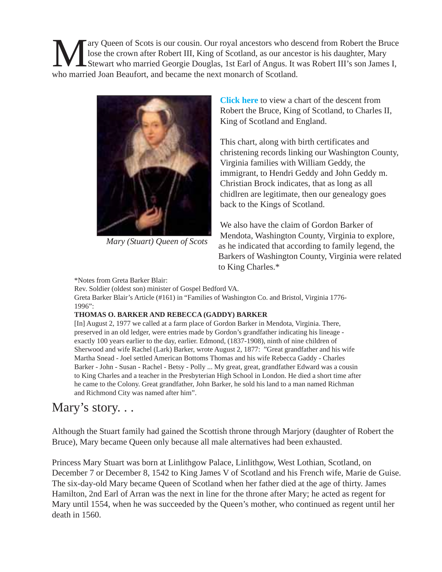Mary Queen of Scots is our cousin. Our royal ancestors who descend from Robert the Bruce<br>lose the crown after Robert III, King of Scotland, as our ancestor is his daughter, Mary<br>Stewart who married Georgie Douglas, 1st Ear lose the crown after Robert III, King of Scotland, as our ancestor is his daughter, Mary Stewart who married Georgie Douglas, 1st Earl of Angus. It was Robert III's son James I, who married Joan Beaufort, and became the next monarch of Scotland.



*Mary (Stuart) Queen of Scots*

**[Click here](http://www.madeofcotton.com/family/maryqueenofscotsfamilytree.pdf)** to view a chart of the descent from Robert the Bruce, King of Scotland, to Charles II, King of Scotland and England.

This chart, along with birth certificates and christening records linking our Washington County, Virginia families with William Geddy, the immigrant, to Hendri Geddy and John Geddy m. Christian Brock indicates, that as long as all chidlren are legitimate, then our genealogy goes back to the Kings of Scotland.

We also have the claim of Gordon Barker of Mendota, Washington County, Virginia to explore, as he indicated that according to family legend, the Barkers of Washington County, Virginia were related to King Charles.\*

\*Notes from Greta Barker Blair:

Rev. Soldier (oldest son) minister of Gospel Bedford VA.

Greta Barker Blair's Article (#161) in "Families of Washington Co. and Bristol, Virginia 1776- 1996":

#### **THOMAS O. BARKER AND REBECCA (GADDY) BARKER**

[In] August 2, 1977 we called at a farm place of Gordon Barker in Mendota, Virginia. There, preserved in an old ledger, were entries made by Gordon's grandfather indicating his lineage exactly 100 years earlier to the day, earlier. Edmond, (1837-1908), ninth of nine children of Sherwood and wife Rachel (Lark) Barker, wrote August 2, 1877: "Great grandfather and his wife Martha Snead - Joel settled American Bottoms Thomas and his wife Rebecca Gaddy - Charles Barker - John - Susan - Rachel - Betsy - Polly ... My great, great, grandfather Edward was a cousin to King Charles and a teacher in the Presbyterian High School in London. He died a short time after he came to the Colony. Great grandfather, John Barker, he sold his land to a man named Richman and Richmond City was named after him".

### Mary's story...

Although the Stuart family had gained the Scottish throne through Marjory (daughter of Robert the Bruce), Mary became Queen only because all male alternatives had been exhausted.

Princess Mary Stuart was born at Linlithgow Palace, Linlithgow, West Lothian, Scotland, on December 7 or December 8, 1542 to King James V of Scotland and his French wife, Marie de Guise. The six-day-old Mary became Queen of Scotland when her father died at the age of thirty. James Hamilton, 2nd Earl of Arran was the next in line for the throne after Mary; he acted as regent for Mary until 1554, when he was succeeded by the Queen's mother, who continued as regent until her death in 1560.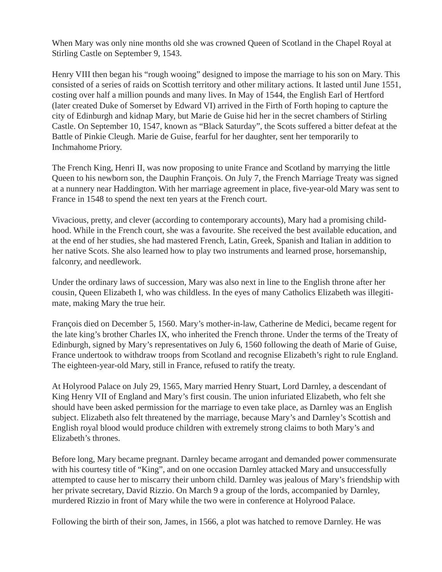When Mary was only nine months old she was crowned Queen of Scotland in the Chapel Royal at Stirling Castle on September 9, 1543.

Henry VIII then began his "rough wooing" designed to impose the marriage to his son on Mary. This consisted of a series of raids on Scottish territory and other military actions. It lasted until June 1551, costing over half a million pounds and many lives. In May of 1544, the English Earl of Hertford (later created Duke of Somerset by Edward VI) arrived in the Firth of Forth hoping to capture the city of Edinburgh and kidnap Mary, but Marie de Guise hid her in the secret chambers of Stirling Castle. On September 10, 1547, known as "Black Saturday", the Scots suffered a bitter defeat at the Battle of Pinkie Cleugh. Marie de Guise, fearful for her daughter, sent her temporarily to Inchmahome Priory.

The French King, Henri II, was now proposing to unite France and Scotland by marrying the little Queen to his newborn son, the Dauphin François. On July 7, the French Marriage Treaty was signed at a nunnery near Haddington. With her marriage agreement in place, five-year-old Mary was sent to France in 1548 to spend the next ten years at the French court.

Vivacious, pretty, and clever (according to contemporary accounts), Mary had a promising childhood. While in the French court, she was a favourite. She received the best available education, and at the end of her studies, she had mastered French, Latin, Greek, Spanish and Italian in addition to her native Scots. She also learned how to play two instruments and learned prose, horsemanship, falconry, and needlework.

Under the ordinary laws of succession, Mary was also next in line to the English throne after her cousin, Queen Elizabeth I, who was childless. In the eyes of many Catholics Elizabeth was illegitimate, making Mary the true heir.

François died on December 5, 1560. Mary's mother-in-law, Catherine de Medici, became regent for the late king's brother Charles IX, who inherited the French throne. Under the terms of the Treaty of Edinburgh, signed by Mary's representatives on July 6, 1560 following the death of Marie of Guise, France undertook to withdraw troops from Scotland and recognise Elizabeth's right to rule England. The eighteen-year-old Mary, still in France, refused to ratify the treaty.

At Holyrood Palace on July 29, 1565, Mary married Henry Stuart, Lord Darnley, a descendant of King Henry VII of England and Mary's first cousin. The union infuriated Elizabeth, who felt she should have been asked permission for the marriage to even take place, as Darnley was an English subject. Elizabeth also felt threatened by the marriage, because Mary's and Darnley's Scottish and English royal blood would produce children with extremely strong claims to both Mary's and Elizabeth's thrones.

Before long, Mary became pregnant. Darnley became arrogant and demanded power commensurate with his courtesy title of "King", and on one occasion Darnley attacked Mary and unsuccessfully attempted to cause her to miscarry their unborn child. Darnley was jealous of Mary's friendship with her private secretary, David Rizzio. On March 9 a group of the lords, accompanied by Darnley, murdered Rizzio in front of Mary while the two were in conference at Holyrood Palace.

Following the birth of their son, James, in 1566, a plot was hatched to remove Darnley. He was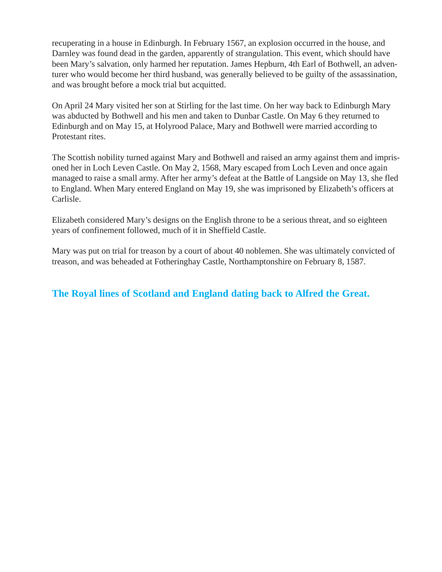recuperating in a house in Edinburgh. In February 1567, an explosion occurred in the house, and Darnley was found dead in the garden, apparently of strangulation. This event, which should have been Mary's salvation, only harmed her reputation. James Hepburn, 4th Earl of Bothwell, an adventurer who would become her third husband, was generally believed to be guilty of the assassination, and was brought before a mock trial but acquitted.

On April 24 Mary visited her son at Stirling for the last time. On her way back to Edinburgh Mary was abducted by Bothwell and his men and taken to Dunbar Castle. On May 6 they returned to Edinburgh and on May 15, at Holyrood Palace, Mary and Bothwell were married according to Protestant rites.

The Scottish nobility turned against Mary and Bothwell and raised an army against them and imprisoned her in Loch Leven Castle. On May 2, 1568, Mary escaped from Loch Leven and once again managed to raise a small army. After her army's defeat at the Battle of Langside on May 13, she fled to England. When Mary entered England on May 19, she was imprisoned by Elizabeth's officers at Carlisle.

Elizabeth considered Mary's designs on the English throne to be a serious threat, and so eighteen years of confinement followed, much of it in Sheffield Castle.

Mary was put on trial for treason by a court of about 40 noblemen. She was ultimately convicted of treason, and was beheaded at Fotheringhay Castle, Northamptonshire on February 8, 1587.

### **[The Royal lines of Scotland and England dating back to Alfred the Great.](https://www.britroyals.com/royaltree.asp)**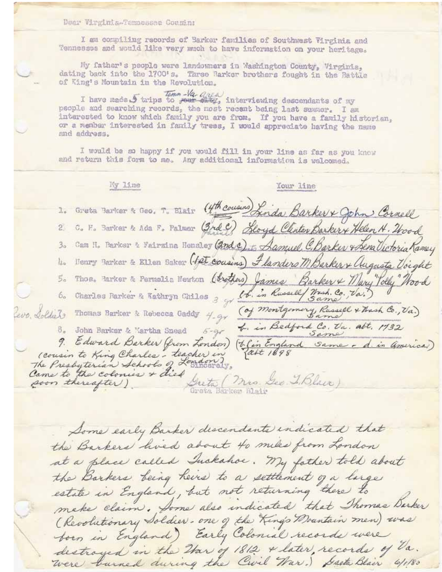Dear Virginia-Tannessee Cousin;

I am compiling records of Barker families of Southwest Virginia and Tennesses and would like very much to have information on your heritage.

My father's people were landowners in Washington County, Virginia, dating back into the 1700's. Three Barker brothers fought in the Battle of King's Mountain in the Revolution.

I have made 5 trips to your air, interviewing descendants of my people and searching records, the most recent being last summer. I am interested to know which family you are from. If you have a family historian, or a member interested in family trees, I would appreciate having the name and address.

I would be so happy if you would fill in your line as far as you knew and return this form to me. Any additional information is welcomed.

Ky 11.ne Your line 1. Greta Barkor & Geo, T. Blair (4th cousins) Linda Barker & John Cornell C. F. Barker & Ada F. Palmer (3rd 9) Sloyd Clinten Barkery Helen H. 2600d  $\mathfrak{L}$ Cam H. Barker & Vairning Hensley (2nd c) to Aamuel C. Barker & Sena Victoria Ramey  $3<sub>o</sub>$ Neary Barker & Ellen Baker (fet cousins) Flanders M Barker + Augusta Voight 払。 Thos. Parker & Permetia Newton (brothers) James Barker & Mary Tolly Nood  $5a$ 6. Charles Barker & Rathryn Chiles 3 gr (b. in Russell Wash. Co., Va.) (of montgomery, Russell & Thash Co., Va.) Leve Soldiets Thomas Barker & Rebecca Gaddy 4-gr 4. in Bedford Co. Va. alt. 1732 8. John Barker & Martha Snead  $5 - 9 -$ 9. Edward Barker (from London) (b) England Same - d. in America) (cousin to King Charles - teacher in Guto (mis. See T. Black) soon thereafter ) Grote Barker Blair

Some early Barker discendants indicated that the Barkers hired about to mike from London at a place called Inckahoe. My father told about the Barkers being heirs to a settlement of a large estate in England, but not returning there to make claim. Some also indicated that Thomas Barker (Revolutionary Soldier- one of the King's Doantain men) was born in England) Early Colonial records were destroyed in the Har of 1812 & later, records of Va. were burned during the Civil War.) Sasta Blair 6/1/80